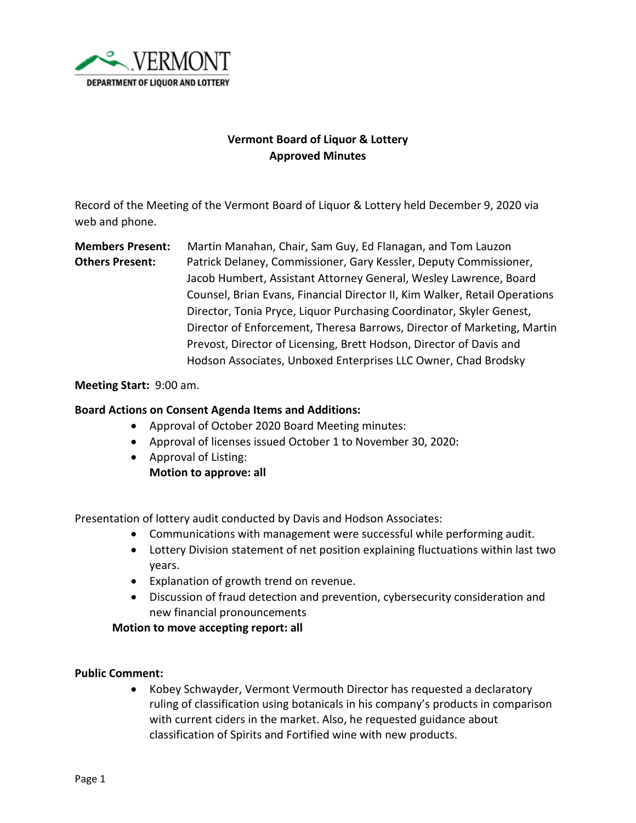

# **Vermont Board of Liquor & Lottery Approved Minutes**

Record of the Meeting of the Vermont Board of Liquor & Lottery held December 9, 2020 via web and phone.

**Members Present:** Martin Manahan, Chair, Sam Guy, Ed Flanagan, and Tom Lauzon **Others Present:** Patrick Delaney, Commissioner, Gary Kessler, Deputy Commissioner, Jacob Humbert, Assistant Attorney General, Wesley Lawrence, Board Counsel, Brian Evans, Financial Director II, Kim Walker, Retail Operations Director, Tonia Pryce, Liquor Purchasing Coordinator, Skyler Genest, Director of Enforcement, Theresa Barrows, Director of Marketing, Martin Prevost, Director of Licensing, Brett Hodson, Director of Davis and Hodson Associates, Unboxed Enterprises LLC Owner, Chad Brodsky

#### **Meeting Start:** 9:00 am.

## **Board Actions on Consent Agenda Items and Additions:**

- Approval of October 2020 Board Meeting minutes:
- Approval of licenses issued October 1 to November 30, 2020:
- Approval of Listing:
	- **Motion to approve: all**

Presentation of lottery audit conducted by Davis and Hodson Associates:

- Communications with management were successful while performing audit.
- Lottery Division statement of net position explaining fluctuations within last two years.
- Explanation of growth trend on revenue.
- Discussion of fraud detection and prevention, cybersecurity consideration and new financial pronouncements

**Motion to move accepting report: all**

#### **Public Comment:**

• Kobey Schwayder, Vermont Vermouth Director has requested a declaratory ruling of classification using botanicals in his company's products in comparison with current ciders in the market. Also, he requested guidance about classification of Spirits and Fortified wine with new products.